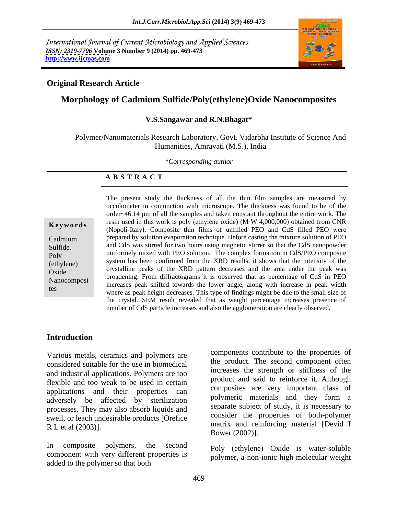International Journal of Current Microbiology and Applied Sciences *ISSN: 2319-7706* **Volume 3 Number 9 (2014) pp. 469-473 <http://www.ijcmas.com>**



#### **Original Research Article**

## **Morphology of Cadmium Sulfide/Poly(ethylene)Oxide Nanocomposites**

#### **V.S.Sangawar and R.N.Bhagat\***

Polymer/Nanomaterials Research Laboratory, Govt. Vidarbha Institute of Science And Humanities, Amravati (M.S.), India

*\*Corresponding author* 

#### **A B S T R A C T**

**Keywords** Fearly used in this work is poly (empleme oxide) (i. W 4,000,000) obtained from CAK<br>(Nopoli-Italy). Composite thin films of unfilled PEO and CdS filled PEO were Cadmium prepared by solution evaporation technique. Before casting the mixture solution of PEO Sulfide, and CdS was stirred for two hours using magnetic stirrer so that the CdS nanopowder poly<br>
uniformely mixed with PEO solution. The complex formation in CdS/PEO composite<br>
in the complex formation in CdS/PEO composite (ethylene) system has been confirmed from the XRD results, it shows that the intensity of the entity of the system in  $\frac{1}{2}$  of the system in  $\frac{1}{2}$  of the system in  $\frac{1}{2}$  of the system in  $\frac{1}{2}$  of the syste Oxide crystalline peaks of the XKD pattern decreases and the area thider the peak was<br>broadening. From diffractograms it is observed that as percentage of CdS in PEO Nanocomposi bood increases peak shifted towards the lower angle, along with increase in peak width the tes where as peak height decreases. This type of findings might be due to the small size of The present study the thickness of all the thin film samples are measured by occulometer in conjunction with microscope. The thickness was found to be of the order~46.14 µm of all the samples and taken constant throughout the entire work. The resin used in this work is poly (ethylene oxide) (M W 4,000,000) obtained from CNR crystalline peaks of the XRD pattern decreases and the area under the peak was the crystal. SEM result revealed that as weight percentage increases presence of number of CdS particle increases and also the agglomeration are clearly observed.

### **Introduction**

Various metals, ceramics and polymers are considered suitable for the use in biomedical and industrial applications. Polymers are too flexible and too weak to be used in certain applications and their properties can adversely be affected by sterilization processes. They may also absorb liquids and swell, or leach undesirable products [Orefice

In composite polymers, the second Poly (ethylene) Oxide is water-soluble component with very different properties is added to the polymer so that both

matrix and reinforcing material [Devid I<br>R L et al (2003)]. components contribute to the properties of the product. The second component often increases the strength or stiffness of the product and said to reinforce it. Although composites are very important class of polymeric materials and they form a separate subject of study, it is necessary to consider the properties of both-polymer Bower (2002)].

polymer, a non-ionic high molecular weight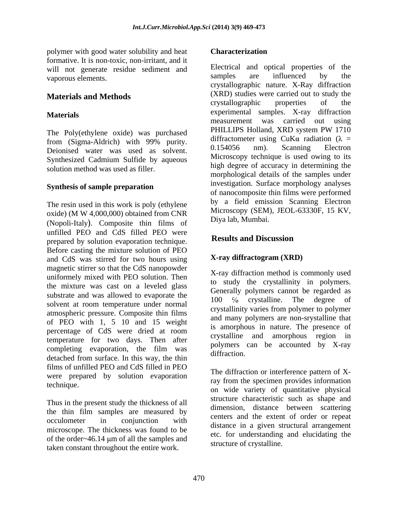polymer with good water solubility and heat **Characterization** formative. It is non-toxic, non-irritant, and it will not generate residue sediment and <br>we samples are influenced by the venerous elements vaporous elements.

Deionised water was used as solvent. 0.154056 nm). Scanning Electron Synthesized Cadmium Sulfide by aqueous solution method was used as filler.

#### **Synthesis of sample preparation**

The resin used in this work is poly (ethylene oxide) (M W 4,000,000) obtained from CNR (Nopoli-Italy). Composite thin films of unfilled PEO and CdS filled PEO were<br> **Results and Discussion** prepared by solution evaporation technique. Before casting the mixture solution of PEO and CdS was stirred for two hours using magnetic stirrer so that the CdS nanopowder uniformely mixed with PEO solution. Then the mixture was cast on a leveled glass substrate and was allowed to evaporate the<br>
100 % crystalline. The degree of solvent at room temperature under normal atmospheric pressure. Composite thin films of PEO with 1, 5 10 and 15 weight percentage of CdS were dried at room temperature for two days. Then after completing evaporation, the film was polymers of detached from surface. In this way, the thin films of unfilled PEO and CdS filled in PEO were prepared by solution evaporation

Thus in the present study the thickness of all the thin film samples are measured by microscope. The thickness was found to be of the order $\sim$ 46.14 µm of all the samples and taken constant throughout the entire work.

### **Characterization**

**Materials and Methods** (XRD) studies were carried out to study the crystallographic properties of the **Materials** experimental samples. X-ray diffraction The Poly(ethylene oxide) was purchased PHILLIPS Holland, XRD system PW 1710 from (Sigma-Aldrich) with 99% purity.  $\frac{1}{2}$  and  $\frac{1}{2}$  and  $\frac{1}{2}$  and  $\frac{1}{2}$  and  $\frac{1}{2}$  and  $\frac{1}{2}$  and  $\frac{1}{2}$  and  $\frac{1}{2}$  and  $\frac{1}{2}$  and  $\frac{1}{2}$  and  $\frac{1}{2}$  and  $\frac{1}{2}$  and  $\frac{1}{2}$  and Electrical and optical properties of the samples are influenced by the crystallographic nature. X-Ray diffraction (XRD) studies were carried out to study the crystallographic properties of the measurement was carried out using PHILLIPS Holland, XRD system PW 1710 diffractometer using CuK $\alpha$  radiation ( $\lambda$  = 0.154056 nm). Scanning Electron Microscopy technique is used owing to its high degree of accuracy in determining the morphological details of the samples under investigation. Surface morphology analyses of nanocomposite thin films were performed by a field emission Scanning Electron Microscopy (SEM), JEOL-63330F, 15 KV, Diya lab, Mumbai.

## **Results and Discussion**

## **X-ray diffractogram (XRD)**

X-ray diffraction method is commonly used to study the crystallinity in polymers. Generally polymers cannot be regarded as 100  $\%$  crystalline. The degree crystallinity varies from polymer to polymer and many polymers are non-srystalline that is amorphous in nature. The presence of crystalline and amorphous region in polymers can be accounted by X-ray diffraction.

technique.<br>
on wide variety of quantitative physical<br>
on wide variety of quantitative physical occulometer in conjunction with concert and the extent of order of repeat The diffraction or interference pattern of Xray from the specimen provides information structure characteristic such as shape and dimension, distance between scattering centers and the extent of order or repeat distance in a given structural arrangement etc. for understanding and elucidating the structure of crystalline.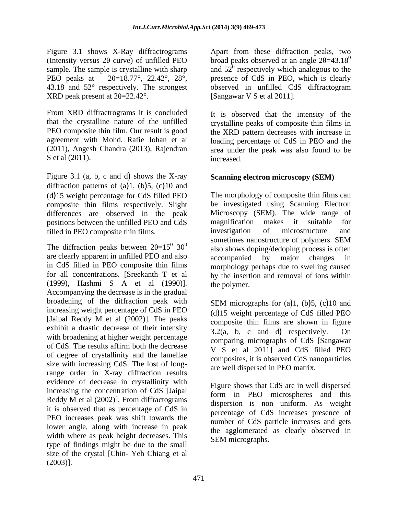Figure 3.1 shows X-Ray diffractrograms (Intensity versus  $2\theta$  curve) of unfilled PEO

 $XRD$  peak present at  $2\theta = 22.42^\circ$ .<br>From XRD diffractrograms it is concluded  $\epsilon$  is observed that the intensity of the S et al  $(2011)$ . increased

Figure 3.1 (a, b, c and d) shows the X-ray diffraction patterns of  $(a)1$ ,  $(b)5$ ,  $(c)10$  and  $(d)$ 15 weight percentage for CdS filled PEO composite thin films respectively. Slight positions between the unfilled PEO and CdS magnification makes it suitable for

The diffraction peaks between  $2\theta = 15^{\circ} - 30^{\circ}$ are clearly apparent in unfilled PEO and also accompanied by major changes in in CdS filled in PEO composite thin films morphology perhaps due to swelling caused for all concentrations. [Sreekanth T et al by the insertion and removal of ions within (1999), Hashmi S A et al (1990)]. Accompanying the decrease is in the gradual broadening of the diffraction peak with increasing weight percentage of CdS in PEO<br>[Jaipal Reddy M et al (2002)]. The peaks [Jaipal Reddy M et al  $(2002)$ ]. The peaks composite thin films are shown in figure exhibit a drastic decrease of their intensity<br> $\frac{32(a - b)}{2(a - b)}$  c and d) respectively On with broadening at higher weight percentage of CdS. The results affirm both the decrease of degree of crystallinity and the lamellae size with increasing CdS. The lost of longrange order in X-ray diffraction results evidence of decrease in crystallinity with increasing the concentration of CdS [Jaipal it is observed that as percentage of CdS in PEO increases peak was shift towards the lower angle, along with increase in peak width where as peak height decreases. This type of findings might be due to the small size of the crystal [Chin- Yeh Chiang et al  $(2003)$ ].

sample. The sample is crystalline with sharp and  $52^{\circ}$  respectively which analogous to the PEO peaks at  $2\theta = 18.77^{\circ}$ ,  $22.42^{\circ}$ ,  $28^{\circ}$ , presence of CdS in PEO, which is clearly 43.18 and 52° respectively. The strongest observed in unfilled CdS diffractogram Apart from these diffraction peaks, two broad peaks observed at an angle  $2\theta = 43.18^{\circ}$ 0 [Sangawar V S et al 2011].

that the crystalline nature of the unfilled crystalline peaks of composite thin films in PEO composite thin film. Our result is good the XRD pattern decreases with increase in agreement with Mohd. Rafie Johan et al loading percentage of CdS in PEO and the (2011), Angesh Chandra (2013), Rajendran area under the peak was also found to be It is observed that the intensity of the increased.

## **Scanning electron microscopy (SEM)**

differences are observed in the peak Microscopy (SEM). The wide range of filled in PEO composite thin films.<br>
since investigation of microstructure and<br>
sometimes nanostructure of polymers. SEM  $^{0}$  -30<sup>0</sup> also shows doping/dedoping process is often The morphology of composite thin films can be investigated using Scanning Electron magnification makes it suitable for investigation of microstructure and sometimes nanostructure of polymers. SEM accompanied by major changes in the polymer.

> SEM micrographs for  $(a)1$ ,  $(b)5$ ,  $(c)10$  and  $(d)$ 15 weight percentage of CdS filled PEO composite thin films are shown in figure  $3.2(a, b, c, and d)$  respectively. comparing micrographs of CdS [Sangawar V S et al 2011] and CdS filled PEO composites, it is observed CdS nanoparticles are well dispersed in PEO matrix.

Reddy M et al  $(2002)$ ]. From diffractograms dispersion is non-uniform As weight Figure shows that CdS are in well dispersed form in PEO microspheres and this dispersion is non uniform. As weight percentage of CdS increases presence of number of CdS particle increases and gets the agglomerated as clearly observed in SEM micrographs.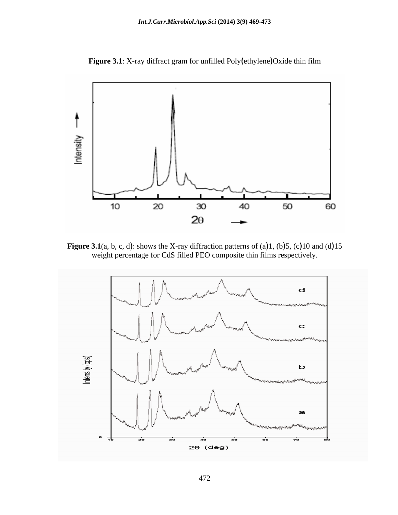**Figure 3.1**: X-ray diffract gram for unfilled Poly (ethylene) Oxide thin film



**Figure 3.1**(a, b, c, d): shows the X-ray diffraction patterns of (a)1, (b)5, (c)10 and (d)15 weight percentage for CdS filled PEO composite thin films respectively.